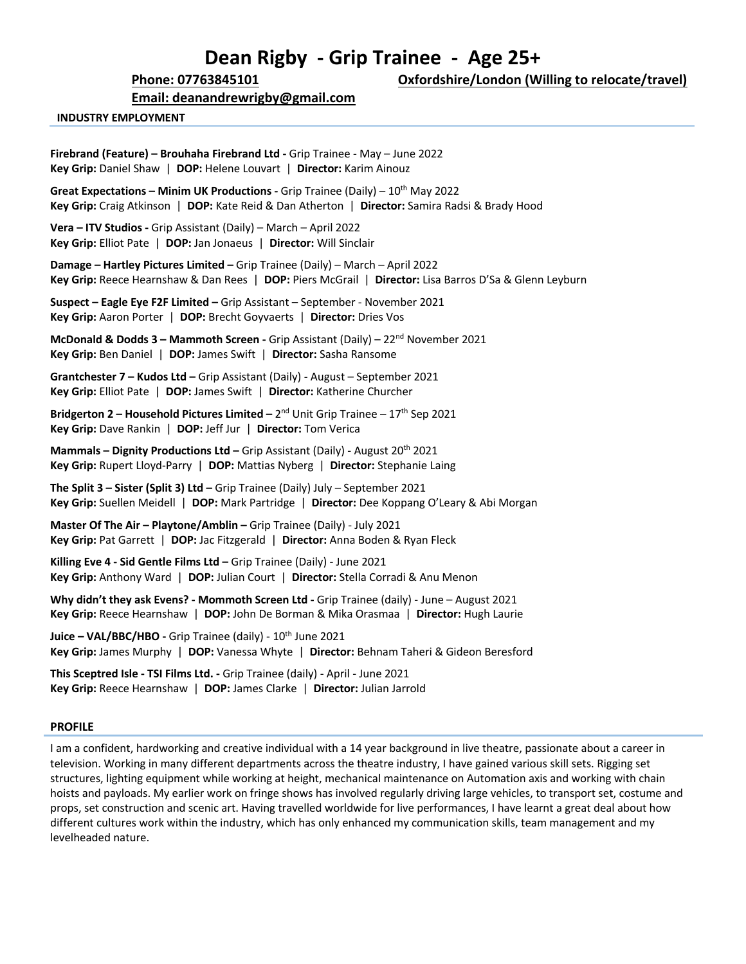# **Dean Rigby - Grip Trainee - Age 25+**

**Email: deanandrewrigby@gmail.com**

**Phone: 07763845101 Oxfordshire/London (Willing to relocate/travel)**

#### **INDUSTRY EMPLOYMENT**

**Firebrand (Feature) – Brouhaha Firebrand Ltd -** Grip Trainee - May – June 2022 **Key Grip:** Daniel Shaw | **DOP:** Helene Louvart | **Director:** Karim Ainouz **Great Expectations – Minim UK Productions -** Grip Trainee (Daily) – 10th May 2022 **Key Grip:** Craig Atkinson | **DOP:** Kate Reid & Dan Atherton | **Director:** Samira Radsi & Brady Hood **Vera – ITV Studios -** Grip Assistant (Daily) – March – April 2022 **Key Grip:** Elliot Pate | **DOP:** Jan Jonaeus | **Director:** Will Sinclair **Damage – Hartley Pictures Limited –** Grip Trainee (Daily) – March – April 2022 **Key Grip:** Reece Hearnshaw & Dan Rees | **DOP:** Piers McGrail | **Director:** Lisa Barros D'Sa & Glenn Leyburn **Suspect – Eagle Eye F2F Limited –** Grip Assistant – September - November 2021 **Key Grip:** Aaron Porter | **DOP:** Brecht Goyvaerts | **Director:** Dries Vos **McDonald & Dodds 3 – Mammoth Screen -** Grip Assistant (Daily) – 22<sup>nd</sup> November 2021 **Key Grip:** Ben Daniel | **DOP:** James Swift | **Director:** Sasha Ransome **Grantchester 7 – Kudos Ltd –** Grip Assistant (Daily) - August – September 2021 **Key Grip:** Elliot Pate | **DOP:** James Swift | **Director:** Katherine Churcher **Bridgerton 2 – Household Pictures Limited – 2<sup>nd</sup> Unit Grip Trainee – 17<sup>th</sup> Sep 2021 Key Grip:** Dave Rankin | **DOP:** Jeff Jur | **Director:** Tom Verica **Mammals – Dignity Productions Ltd –** Grip Assistant (Daily) - August 20th 2021 **Key Grip:** Rupert Lloyd-Parry | **DOP:** Mattias Nyberg | **Director:** Stephanie Laing **The Split 3 – Sister (Split 3) Ltd –** Grip Trainee (Daily) July – September 2021

**Key Grip:** Suellen Meidell | **DOP:** Mark Partridge | **Director:** Dee Koppang O'Leary & Abi Morgan

**Master Of The Air – Playtone/Amblin –** Grip Trainee (Daily) - July 2021 **Key Grip:** Pat Garrett | **DOP:** Jac Fitzgerald | **Director:** Anna Boden & Ryan Fleck

**Killing Eve 4 - Sid Gentle Films Ltd –** Grip Trainee (Daily) - June 2021 **Key Grip:** Anthony Ward | **DOP:** Julian Court | **Director:** Stella Corradi & Anu Menon

**Why didn't they ask Evens? - Mommoth Screen Ltd -** Grip Trainee (daily) - June – August 2021 **Key Grip:** Reece Hearnshaw | **DOP:** John De Borman & Mika Orasmaa | **Director:** Hugh Laurie

Juice - VAL/BBC/HBO - Grip Trainee (daily) - 10<sup>th</sup> June 2021 **Key Grip:** James Murphy | **DOP:** Vanessa Whyte | **Director:** Behnam Taheri & Gideon Beresford

**This Sceptred Isle - TSI Films Ltd. -** Grip Trainee (daily) - April - June 2021 **Key Grip:** Reece Hearnshaw | **DOP:** James Clarke | **Director:** Julian Jarrold

### **PROFILE**

I am a confident, hardworking and creative individual with a 14 year background in live theatre, passionate about a career in television. Working in many different departments across the theatre industry, I have gained various skill sets. Rigging set structures, lighting equipment while working at height, mechanical maintenance on Automation axis and working with chain hoists and payloads. My earlier work on fringe shows has involved regularly driving large vehicles, to transport set, costume and props, set construction and scenic art. Having travelled worldwide for live performances, I have learnt a great deal about how different cultures work within the industry, which has only enhanced my communication skills, team management and my levelheaded nature.